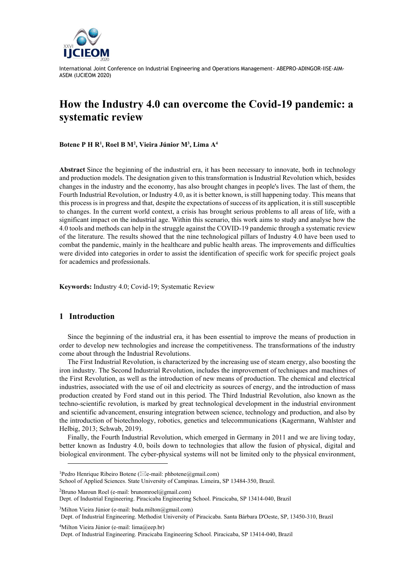

# **How the Industry 4.0 can overcome the Covid-19 pandemic: a systematic review**

**Botene P H R<sup>1</sup> , Roel B M<sup>2</sup> , Vieira Júnior M<sup>3</sup> , Lima A<sup>4</sup>**

**Abstract** Since the beginning of the industrial era, it has been necessary to innovate, both in technology and production models. The designation given to this transformation is Industrial Revolution which, besides changes in the industry and the economy, has also brought changes in people's lives. The last of them, the Fourth Industrial Revolution, or Industry 4.0, as it is better known, is still happening today. This means that this process is in progress and that, despite the expectations of success of its application, it is still susceptible to changes. In the current world context, a crisis has brought serious problems to all areas of life, with a significant impact on the industrial age. Within this scenario, this work aims to study and analyse how the 4.0 tools and methods can help in the struggle against the COVID-19 pandemic through a systematic review of the literature. The results showed that the nine technological pillars of Industry 4.0 have been used to combat the pandemic, mainly in the healthcare and public health areas. The improvements and difficulties were divided into categories in order to assist the identification of specific work for specific project goals for academics and professionals.

**Keywords:** Industry 4.0; Covid-19; Systematic Review

## **1 Introduction**

Since the beginning of the industrial era, it has been essential to improve the means of production in order to develop new technologies and increase the competitiveness. The transformations of the industry come about through the Industrial Revolutions.

The First Industrial Revolution, is characterized by the increasing use of steam energy, also boosting the iron industry. The Second Industrial Revolution, includes the improvement of techniques and machines of the First Revolution, as well as the introduction of new means of production. The chemical and electrical industries, associated with the use of oil and electricity as sources of energy, and the introduction of mass production created by Ford stand out in this period. The Third Industrial Revolution, also known as the techno-scientific revolution, is marked by great technological development in the industrial environment and scientific advancement, ensuring integration between science, technology and production, and also by the introduction of biotechnology, robotics, genetics and telecommunications (Kagermann, Wahlster and Helbig, 2013; Schwab, 2019).

Finally, the Fourth Industrial Revolution, which emerged in Germany in 2011 and we are living today, better known as Industry 4.0, boils down to technologies that allow the fusion of physical, digital and biological environment. The cyber-physical systems will not be limited only to the physical environment,

 ${}^{2}$ Bruno Maroun Roel (e-mail: brunomroel@gmail.com)

 $3$ Milton Vieira Júnior (e-mail: buda.milton@gmail.com)

Dept. of Industrial Engineering. Methodist University of Piracicaba. Santa Bárbara D'Oeste, SP, 13450-310, Brazil

<sup>4</sup>Milton Vieira Júnior (e-mail: lima@eep.br)

<sup>&</sup>lt;sup>1</sup>Pedro Henrique Ribeiro Botene ( $\boxtimes$ e-mail: phbotene@gmail.com)

School of Applied Sciences. State University of Campinas. Limeira, SP 13484-350, Brazil.

Dept. of Industrial Engineering. Piracicaba Engineering School. Piracicaba, SP 13414-040, Brazil

Dept. of Industrial Engineering. Piracicaba Engineering School. Piracicaba, SP 13414-040, Brazil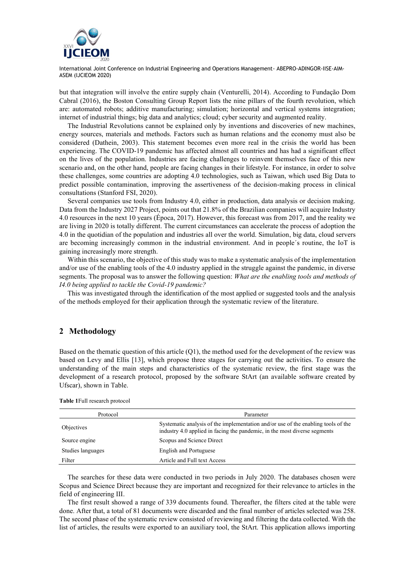

but that integration will involve the entire supply chain (Venturelli, 2014). According to Fundação Dom Cabral (2016), the Boston Consulting Group Report lists the nine pillars of the fourth revolution, which are: automated robots; additive manufacturing; simulation; horizontal and vertical systems integration; internet of industrial things; big data and analytics; cloud; cyber security and augmented reality.

The Industrial Revolutions cannot be explained only by inventions and discoveries of new machines, energy sources, materials and methods. Factors such as human relations and the economy must also be considered (Dathein, 2003). This statement becomes even more real in the crisis the world has been experiencing. The COVID-19 pandemic has affected almost all countries and has had a significant effect on the lives of the population. Industries are facing challenges to reinvent themselves face of this new scenario and, on the other hand, people are facing changes in their lifestyle. For instance, in order to solve these challenges, some countries are adopting 4.0 technologies, such as Taiwan, which used Big Data to predict possible contamination, improving the assertiveness of the decision-making process in clinical consultations (Stanford FSI, 2020).

Several companies use tools from Industry 4.0, either in production, data analysis or decision making. Data from the Industry 2027 Project, points out that 21.8% of the Brazilian companies will acquire Industry 4.0 resources in the next 10 years (Época, 2017). However, this forecast was from 2017, and the reality we are living in 2020 is totally different. The current circumstances can accelerate the process of adoption the 4.0 in the quotidian of the population and industries all over the world. Simulation, big data, cloud servers are becoming increasingly common in the industrial environment. And in people´s routine, the IoT is gaining increasingly more strength.

Within this scenario, the objective of this study was to make a systematic analysis of the implementation and/or use of the enabling tools of the 4.0 industry applied in the struggle against the pandemic, in diverse segments. The proposal was to answer the following question: *What are the enabling tools and methods of I4.0 being applied to tackle the Covid-19 pandemic?*

This was investigated through the identification of the most applied or suggested tools and the analysis of the methods employed for their application through the systematic review of the literature.

## **2 Methodology**

Based on the thematic question of this article (Q1), the method used for the development of the review was based on Levy and Ellis [13], which propose three stages for carrying out the activities. To ensure the understanding of the main steps and characteristics of the systematic review, the first stage was the development of a research protocol, proposed by the software StArt (an available software created by Ufscar), shown in Table.

| Protocol          | Parameter                                                                                                                                                      |
|-------------------|----------------------------------------------------------------------------------------------------------------------------------------------------------------|
| Objectives        | Systematic analysis of the implementation and/or use of the enabling tools of the<br>industry 4.0 applied in facing the pandemic, in the most diverse segments |
| Source engine     | Scopus and Science Direct                                                                                                                                      |
| Studies languages | <b>English and Portuguese</b>                                                                                                                                  |
| Filter            | Article and Full text Access                                                                                                                                   |

**Table 1**Full research protocol

The searches for these data were conducted in two periods in July 2020. The databases chosen were Scopus and Science Direct because they are important and recognized for their relevance to articles in the field of engineering III.

The first result showed a range of 339 documents found. Thereafter, the filters cited at the table were done. After that, a total of 81 documents were discarded and the final number of articles selected was 258. The second phase of the systematic review consisted of reviewing and filtering the data collected. With the list of articles, the results were exported to an auxiliary tool, the StArt. This application allows importing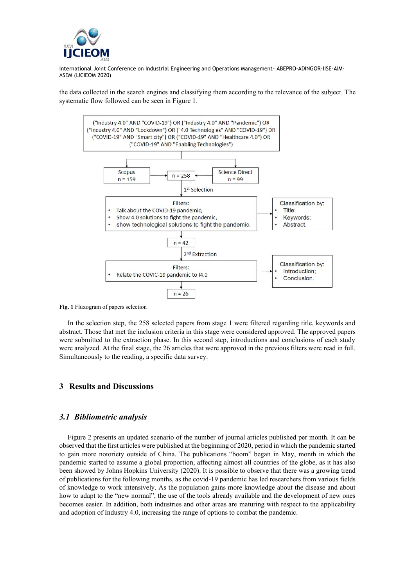

the data collected in the search engines and classifying them according to the relevance of the subject. The systematic flow followed can be seen in Figure 1.



**Fig. 1** Fluxogram of papers selection

In the selection step, the 258 selected papers from stage 1 were filtered regarding title, keywords and abstract. Those that met the inclusion criteria in this stage were considered approved. The approved papers were submitted to the extraction phase. In this second step, introductions and conclusions of each study were analyzed. At the final stage, the 26 articles that were approved in the previous filters were read in full. Simultaneously to the reading, a specific data survey.

#### **3 Results and Discussions**

## *3.1 Bibliometric analysis*

Figure 2 presents an updated scenario of the number of journal articles published per month. It can be observed that the first articles were published at the beginning of 2020, period in which the pandemic started to gain more notoriety outside of China. The publications "boom" began in May, month in which the pandemic started to assume a global proportion, affecting almost all countries of the globe, as it has also been showed by Johns Hopkins University (2020). It is possible to observe that there was a growing trend of publications for the following months, as the covid-19 pandemic has led researchers from various fields of knowledge to work intensively. As the population gains more knowledge about the disease and about how to adapt to the "new normal", the use of the tools already available and the development of new ones becomes easier. In addition, both industries and other areas are maturing with respect to the applicability and adoption of Industry 4.0, increasing the range of options to combat the pandemic.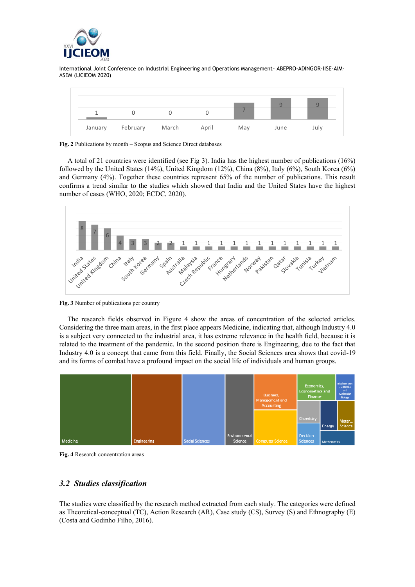



**Fig. 2** Publications by month – Scopus and Science Direct databases

A total of 21 countries were identified (see Fig 3). India has the highest number of publications (16%) followed by the United States (14%), United Kingdom (12%), China (8%), Italy (6%), South Korea (6%) and Germany (4%). Together these countries represent 65% of the number of publications. This result confirms a trend similar to the studies which showed that India and the United States have the highest number of cases (WHO, 2020; ECDC, 2020).



**Fig. 3** Number of publications per country

The research fields observed in Figure 4 show the areas of concentration of the selected articles. Considering the three main areas, in the first place appears Medicine, indicating that, although Industry 4.0 is a subject very connected to the industrial area, it has extreme relevance in the health field, because it is related to the treatment of the pandemic. In the second position there is Engineering, due to the fact that Industry 4.0 is a concept that came from this field. Finally, the Social Sciences area shows that covid-19 and its forms of combat have a profound impact on the social life of individuals and human groups.



**Fig. 4** Research concentration areas

# *3.2 Studies classification*

The studies were classified by the research method extracted from each study. The categories were defined as Theoretical-conceptual (TC), Action Research (AR), Case study (CS), Survey (S) and Ethnography (E) (Costa and Godinho Filho, 2016).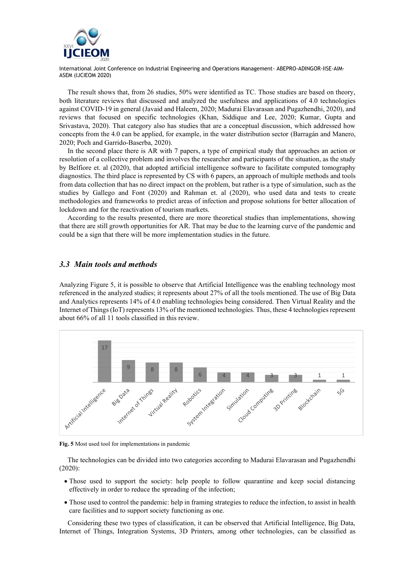

The result shows that, from 26 studies, 50% were identified as TC. Those studies are based on theory, both literature reviews that discussed and analyzed the usefulness and applications of 4.0 technologies against COVID-19 in general (Javaid and Haleem, 2020; Madurai Elavarasan and Pugazhendhi, 2020), and reviews that focused on specific technologies (Khan, Siddique and Lee, 2020; Kumar, Gupta and Srivastava, 2020). That category also has studies that are a conceptual discussion, which addressed how concepts from the 4.0 can be applied, for example, in the water distribution sector (Barragán and Manero, 2020; Poch and Garrido-Baserba, 2020).

In the second place there is AR with 7 papers, a type of empirical study that approaches an action or resolution of a collective problem and involves the researcher and participants of the situation, as the study by Belfiore et. al (2020), that adopted artificial intelligence software to facilitate computed tomography diagnostics. The third place is represented by CS with 6 papers, an approach of multiple methods and tools from data collection that has no direct impact on the problem, but rather is a type of simulation, such as the studies by Gallego and Font (2020) and Rahman et. al (2020), who used data and tests to create methodologies and frameworks to predict areas of infection and propose solutions for better allocation of lockdown and for the reactivation of tourism markets.

According to the results presented, there are more theoretical studies than implementations, showing that there are still growth opportunities for AR. That may be due to the learning curve of the pandemic and could be a sign that there will be more implementation studies in the future.

## *3.3 Main tools and methods*

Analyzing Figure 5, it is possible to observe that Artificial Intelligence was the enabling technology most referenced in the analyzed studies; it represents about 27% of all the tools mentioned. The use of Big Data and Analytics represents 14% of 4.0 enabling technologies being considered. Then Virtual Reality and the Internet of Things (IoT) represents 13% of the mentioned technologies. Thus, these 4 technologies represent about 66% of all 11 tools classified in this review.



**Fig. 5** Most used tool for implementations in pandemic

The technologies can be divided into two categories according to Madurai Elavarasan and Pugazhendhi (2020):

- Those used to support the society: help people to follow quarantine and keep social distancing effectively in order to reduce the spreading of the infection;
- Those used to control the pandemic: help in framing strategies to reduce the infection, to assist in health care facilities and to support society functioning as one.

Considering these two types of classification, it can be observed that Artificial Intelligence, Big Data, Internet of Things, Integration Systems, 3D Printers, among other technologies, can be classified as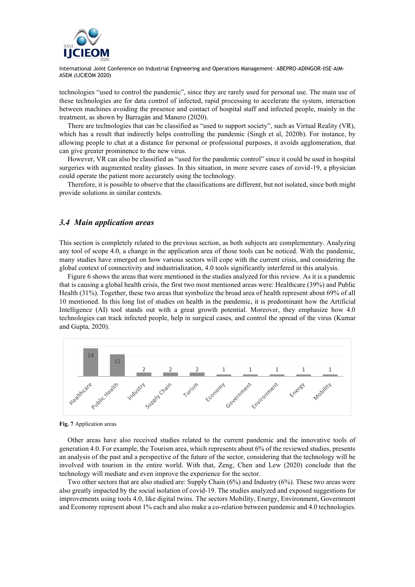

technologies "used to control the pandemic", since they are rarely used for personal use. The main use of these technologies are for data control of infected, rapid processing to accelerate the system, interaction between machines avoiding the presence and contact of hospital staff and infected people, mainly in the treatment, as shown by Barragán and Manero (2020).

There are technologies that can be classified as "used to support society", such as Virtual Reality (VR), which has a result that indirectly helps controlling the pandemic (Singh et al, 2020b). For instance, by allowing people to chat at a distance for personal or professional purposes, it avoids agglomeration, that can give greater prominence to the new virus.

However, VR can also be classified as "used for the pandemic control" since it could be used in hospital surgeries with augmented reality glasses. In this situation, in more severe cases of covid-19, a physician could operate the patient more accurately using the technology.

Therefore, it is possible to observe that the classifications are different, but not isolated, since both might provide solutions in similar contexts.

#### *3.4 Main application areas*

This section is completely related to the previous section, as both subjects are complementary. Analyzing any tool of scope 4.0, a change in the application area of those tools can be noticed. With the pandemic, many studies have emerged on how various sectors will cope with the current crisis, and considering the global context of connectivity and industrialization, 4.0 tools significantly interfered in this analysis.

Figure 6 shows the areas that were mentioned in the studies analyzed for this review. As it is a pandemic that is causing a global health crisis, the first two most mentioned areas were: Healthcare (39%) and Public Health (31%). Together, these two areas that symbolize the broad area of health represent about 69% of all 10 mentioned. In this long list of studies on health in the pandemic, it is predominant how the Artificial Intelligence (AI) tool stands out with a great growth potential. Moreover, they emphasize how 4.0 technologies can track infected people, help in surgical cases, and control the spread of the virus (Kumar and Gupta, 2020).



**Fig. 7** Application areas

Other areas have also received studies related to the current pandemic and the innovative tools of generation 4.0. For example, the Tourism area, which represents about 6% of the reviewed studies, presents an analysis of the past and a perspective of the future of the sector, considering that the technology will be involved with tourism in the entire world. With that, Zeng, Chen and Lew (2020) conclude that the technology will mediate and even improve the experience for the sector.

Two other sectors that are also studied are: Supply Chain (6%) and Industry (6%). These two areas were also greatly impacted by the social isolation of covid-19. The studies analyzed and exposed suggestions for improvements using tools 4.0, like digital twins. The sectors Mobility, Energy, Environment, Government and Economy represent about 1% each and also make a co-relation between pandemic and 4.0 technologies.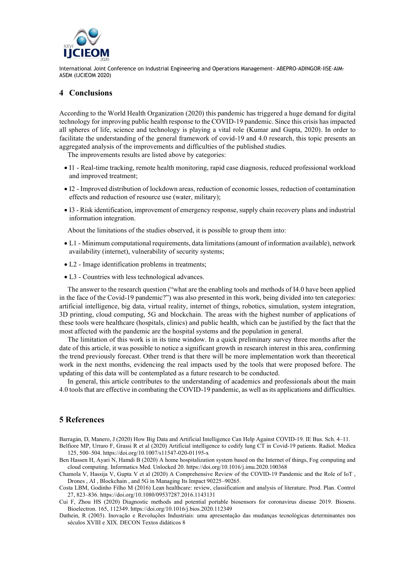

## **4 Conclusions**

According to the World Health Organization (2020) this pandemic has triggered a huge demand for digital technology for improving public health response to the COVID-19 pandemic. Since this crisis has impacted all spheres of life, science and technology is playing a vital role (Kumar and Gupta, 2020). In order to facilitate the understanding of the general framework of covid-19 and 4.0 research, this topic presents an aggregated analysis of the improvements and difficulties of the published studies.

The improvements results are listed above by categories:

- I1 Real-time tracking, remote health monitoring, rapid case diagnosis, reduced professional workload and improved treatment;
- I2 Improved distribution of lockdown areas, reduction of economic losses, reduction of contamination effects and reduction of resource use (water, military);
- I3 Risk identification, improvement of emergency response, supply chain recovery plans and industrial information integration.

About the limitations of the studies observed, it is possible to group them into:

- L1 Minimum computational requirements, data limitations (amount of information available), network availability (internet), vulnerability of security systems;
- L2 Image identification problems in treatments;
- L3 Countries with less technological advances.

The answer to the research question ("what are the enabling tools and methods of I4.0 have been applied in the face of the Covid-19 pandemic?") was also presented in this work, being divided into ten categories: artificial intelligence, big data, virtual reality, internet of things, robotics, simulation, system integration, 3D printing, cloud computing, 5G and blockchain. The areas with the highest number of applications of these tools were healthcare (hospitals, clinics) and public health, which can be justified by the fact that the most affected with the pandemic are the hospital systems and the population in general.

The limitation of this work is in its time window. In a quick preliminary survey three months after the date of this article, it was possible to notice a significant growth in research interest in this area, confirming the trend previously forecast. Other trend is that there will be more implementation work than theoretical work in the next months, evidencing the real impacts used by the tools that were proposed before. The updating of this data will be contemplated as a future research to be conducted.

In general, this article contributes to the understanding of academics and professionals about the main 4.0 tools that are effective in combating the COVID-19 pandemic, as well as its applications and difficulties.

# **5 References**

Barragán, D, Manero, J (2020) How Big Data and Artificial Intelligence Can Help Against COVID-19. IE Bus. Sch. 4–11. Belfiore MP, Urraro F, Grassi R et al (2020) Artificial intelligence to codify lung CT in Covid-19 patients. Radiol. Medica 125, 500–504. https://doi.org/10.1007/s11547-020-01195-x

Ben Hassen H, Ayari N, Hamdi B (2020) A home hospitalization system based on the Internet of things, Fog computing and cloud computing. Informatics Med. Unlocked 20. https://doi.org/10.1016/j.imu.2020.100368

Chamola V, Hassija V, Gupta V et al (2020) A Comprehensive Review of the COVID-19 Pandemic and the Role of IoT , Drones , AI , Blockchain , and 5G in Managing Its Impact 90225–90265.

Costa LBM, Godinho Filho M (2016) Lean healthcare: review, classification and analysis of literature. Prod. Plan. Control 27, 823–836. https://doi.org/10.1080/09537287.2016.1143131

Cui F, Zhou HS (2020) Diagnostic methods and potential portable biosensors for coronavirus disease 2019. Biosens. Bioelectron. 165, 112349. https://doi.org/10.1016/j.bios.2020.112349

Dathein, R (2003). Inovação e Revoluções Industriais: uma apresentação das mudanças tecnológicas determinantes nos séculos XVIII e XIX. DECON Textos didáticos 8